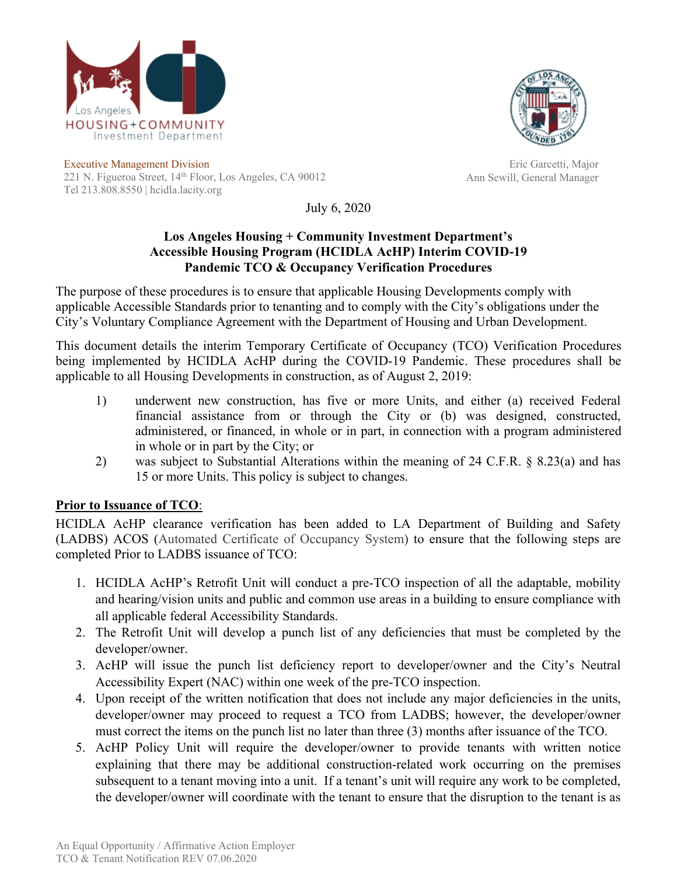



Executive Management Division 221 N. Figueroa Street, 14<sup>th</sup> Floor, Los Angeles, CA 90012 Tel 213.808.8550 | hcidla.lacity.org

Eric Garcetti, Major Ann Sewill, General Manager

July 6, 2020

## **Los Angeles Housing + Community Investment Department's Accessible Housing Program (HCIDLA AcHP) Interim COVID-19 Pandemic TCO & Occupancy Verification Procedures**

The purpose of these procedures is to ensure that applicable Housing Developments comply with applicable Accessible Standards prior to tenanting and to comply with the City's obligations under the City's Voluntary Compliance Agreement with the Department of Housing and Urban Development.

This document details the interim Temporary Certificate of Occupancy (TCO) Verification Procedures being implemented by HCIDLA AcHP during the COVID-19 Pandemic. These procedures shall be applicable to all Housing Developments in construction, as of August 2, 2019:

- 1) underwent new construction, has five or more Units, and either (a) received Federal financial assistance from or through the City or (b) was designed, constructed, administered, or financed, in whole or in part, in connection with a program administered in whole or in part by the City; or
- 2) was subject to Substantial Alterations within the meaning of 24 C.F.R. § 8.23(a) and has 15 or more Units. This policy is subject to changes.

## **Prior to Issuance of TCO**:

HCIDLA AcHP clearance verification has been added to LA Department of Building and Safety (LADBS) ACOS (Automated Certificate of Occupancy System) to ensure that the following steps are completed Prior to LADBS issuance of TCO:

- 1. HCIDLA AcHP's Retrofit Unit will conduct a pre-TCO inspection of all the adaptable, mobility and hearing/vision units and public and common use areas in a building to ensure compliance with all applicable federal Accessibility Standards.
- 2. The Retrofit Unit will develop a punch list of any deficiencies that must be completed by the developer/owner.
- 3. AcHP will issue the punch list deficiency report to developer/owner and the City's Neutral Accessibility Expert (NAC) within one week of the pre-TCO inspection.
- 4. Upon receipt of the written notification that does not include any major deficiencies in the units, developer/owner may proceed to request a TCO from LADBS; however, the developer/owner must correct the items on the punch list no later than three (3) months after issuance of the TCO.
- 5. AcHP Policy Unit will require the developer/owner to provide tenants with written notice explaining that there may be additional construction-related work occurring on the premises subsequent to a tenant moving into a unit. If a tenant's unit will require any work to be completed, the developer/owner will coordinate with the tenant to ensure that the disruption to the tenant is as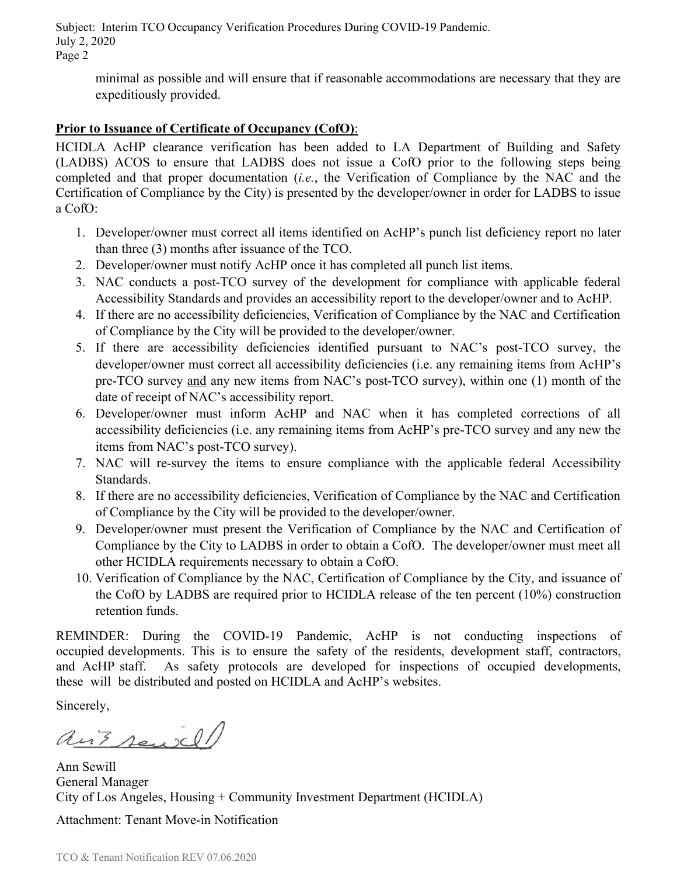Subject: Interim TCO Occupancy Verification Procedures During COVID-19 Pandemic. July 2, 2020 Page 2

minimal as possible and will ensure that if reasonable accommodations are necessary that they are expeditiously provided.

## **Prior to Issuance of Certificate of Occupancy (CofO)**:

HCIDLA AcHP clearance verification has been added to LA Department of Building and Safety (LADBS) ACOS to ensure that LADBS does not issue a CofO prior to the following steps being completed and that proper documentation (*i.e.*, the Verification of Compliance by the NAC and the Certification of Compliance by the City) is presented by the developer/owner in order for LADBS to issue a CofO:

- 1. Developer/owner must correct all items identified on AcHP's punch list deficiency report no later than three (3) months after issuance of the TCO.
- 2. Developer/owner must notify AcHP once it has completed all punch list items.
- 3. NAC conducts a post-TCO survey of the development for compliance with applicable federal Accessibility Standards and provides an accessibility report to the developer/owner and to AcHP.
- 4. If there are no accessibility deficiencies, Verification of Compliance by the NAC and Certification of Compliance by the City will be provided to the developer/owner.
- 5. If there are accessibility deficiencies identified pursuant to NAC's post-TCO survey, the developer/owner must correct all accessibility deficiencies (i.e. any remaining items from AcHP's pre-TCO survey and any new items from NAC's post-TCO survey), within one (1) month of the date of receipt of NAC's accessibility report.
- 6. Developer/owner must inform AcHP and NAC when it has completed corrections of all accessibility deficiencies (i.e. any remaining items from AcHP's pre-TCO survey and any new the items from NAC's post-TCO survey).
- 7. NAC will re-survey the items to ensure compliance with the applicable federal Accessibility Standards.
- 8. If there are no accessibility deficiencies, Verification of Compliance by the NAC and Certification of Compliance by the City will be provided to the developer/owner.
- 9. Developer/owner must present the Verification of Compliance by the NAC and Certification of Compliance by the City to LADBS in order to obtain a CofO. The developer/owner must meet all other HCIDLA requirements necessary to obtain a CofO.
- 10. Verification of Compliance by the NAC, Certification of Compliance by the City, and issuance of the CofO by LADBS are required prior to HCIDLA release of the ten percent (10%) construction retention funds.

REMINDER: During the COVID-19 Pandemic, AcHP is not conducting inspections of occupied developments. This is to ensure the safety of the residents, development staff, contractors, and AcHP staff. As safety protocols are developed for inspections of occupied developments, these will be distributed and posted on HCIDLA and AcHP's websites.

Sincerely,

ant seniel

Ann Sewill General Manager City of Los Angeles, Housing + Community Investment Department (HCIDLA)

Attachment: Tenant Move-in Notification